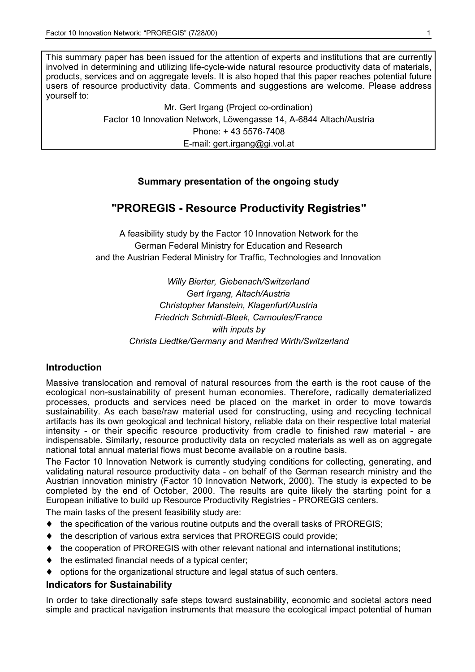This summary paper has been issued for the attention of experts and institutions that are currently involved in determining and utilizing life-cycle-wide natural resource productivity data of materials, products, services and on aggregate levels. It is also hoped that this paper reaches potential future users of resource productivity data. Comments and suggestions are welcome. Please address yourself to:

> Mr. Gert Irgang (Project co-ordination) Factor 10 Innovation Network, Löwengasse 14, A-6844 Altach/Austria Phone: + 43 5576-7408 E-mail: gert.irgang@gi.vol.at

## **Summary presentation of the ongoing study**

# **"PROREGIS - Resource Productivity Registries"**

A feasibility study by the Factor 10 Innovation Network for the German Federal Ministry for Education and Research and the Austrian Federal Ministry for Traffic, Technologies and Innovation

> *Willy Bierter, Giebenach/Switzerland Gert Irgang, Altach/Austria Christopher Manstein, Klagenfurt/Austria Friedrich Schmidt-Bleek, Carnoules/France with inputs by Christa Liedtke/Germany and Manfred Wirth/Switzerland*

## **Introduction**

Massive translocation and removal of natural resources from the earth is the root cause of the ecological non-sustainability of present human economies. Therefore, radically dematerialized processes, products and services need be placed on the market in order to move towards sustainability. As each base/raw material used for constructing, using and recycling technical artifacts has its own geological and technical history, reliable data on their respective total material intensity - or their specific resource productivity from cradle to finished raw material - are indispensable. Similarly, resource productivity data on recycled materials as well as on aggregate national total annual material flows must become available on a routine basis.

The Factor 10 Innovation Network is currently studying conditions for collecting, generating, and validating natural resource productivity data - on behalf of the German research ministry and the Austrian innovation ministry (Factor 10 Innovation Network, 2000). The study is expected to be completed by the end of October, 2000. The results are quite likely the starting point for a European initiative to build up Resource Productivity Registries - PROREGIS centers.

The main tasks of the present feasibility study are:

- $\blacklozenge$  the specification of the various routine outputs and the overall tasks of PROREGIS;
- ♦ the description of various extra services that PROREGIS could provide;
- ♦ the cooperation of PROREGIS with other relevant national and international institutions;
- $\bullet$  the estimated financial needs of a typical center;
- ♦ options for the organizational structure and legal status of such centers.

#### **Indicators for Sustainability**

In order to take directionally safe steps toward sustainability, economic and societal actors need simple and practical navigation instruments that measure the ecological impact potential of human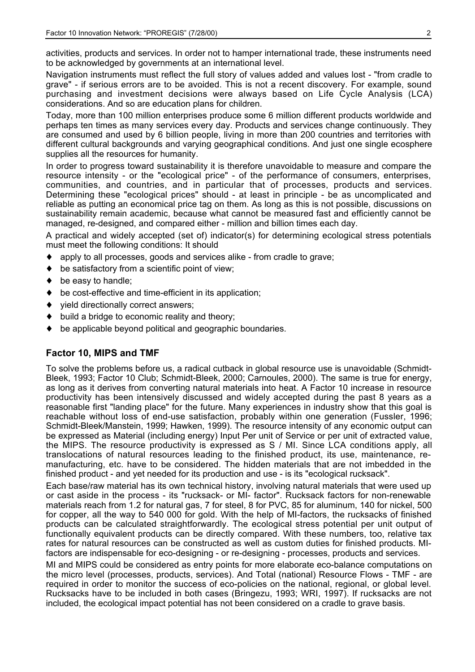activities, products and services. In order not to hamper international trade, these instruments need to be acknowledged by governments at an international level.

Navigation instruments must reflect the full story of values added and values lost - "from cradle to grave" - if serious errors are to be avoided. This is not a recent discovery. For example, sound purchasing and investment decisions were always based on Life Cycle Analysis (LCA) considerations. And so are education plans for children.

Today, more than 100 million enterprises produce some 6 million different products worldwide and perhaps ten times as many services every day. Products and services change continuously. They are consumed and used by 6 billion people, living in more than 200 countries and territories with different cultural backgrounds and varying geographical conditions. And just one single ecosphere supplies all the resources for humanity.

In order to progress toward sustainability it is therefore unavoidable to measure and compare the resource intensity - or the "ecological price" - of the performance of consumers, enterprises, communities, and countries, and in particular that of processes, products and services. Determining these "ecological prices" should - at least in principle - be as uncomplicated and reliable as putting an economical price tag on them. As long as this is not possible, discussions on sustainability remain academic, because what cannot be measured fast and efficiently cannot be managed, re-designed, and compared either - million and billion times each day.

A practical and widely accepted (set of) indicator(s) for determining ecological stress potentials must meet the following conditions: It should

- ♦ apply to all processes, goods and services alike from cradle to grave;
- be satisfactory from a scientific point of view;
- ◆ be easy to handle:
- ♦ be cost-effective and time-efficient in its application;
- ♦ yield directionally correct answers;
- build a bridge to economic reality and theory;
- be applicable beyond political and geographic boundaries.

#### **Factor 10, MIPS and TMF**

To solve the problems before us, a radical cutback in global resource use is unavoidable (Schmidt-Bleek, 1993; Factor 10 Club; Schmidt-Bleek, 2000; Carnoules, 2000). The same is true for energy, as long as it derives from converting natural materials into heat. A Factor 10 increase in resource productivity has been intensively discussed and widely accepted during the past 8 years as a reasonable first "landing place" for the future. Many experiences in industry show that this goal is reachable without loss of end-use satisfaction, probably within one generation (Fussler, 1996; Schmidt-Bleek/Manstein, 1999; Hawken, 1999). The resource intensity of any economic output can be expressed as Material (including energy) Input Per unit of Service or per unit of extracted value, the MIPS. The resource productivity is expressed as S / MI. Since LCA conditions apply, all translocations of natural resources leading to the finished product, its use, maintenance, remanufacturing, etc. have to be considered. The hidden materials that are not imbedded in the finished product - and yet needed for its production and use - is its "ecological rucksack".

Each base/raw material has its own technical history, involving natural materials that were used up or cast aside in the process - its "rucksack- or MI- factor". Rucksack factors for non-renewable materials reach from 1.2 for natural gas, 7 for steel, 8 for PVC, 85 for aluminum, 140 for nickel, 500 for copper, all the way to 540 000 for gold. With the help of MI-factors, the rucksacks of finished products can be calculated straightforwardly. The ecological stress potential per unit output of functionally equivalent products can be directly compared. With these numbers, too, relative tax rates for natural resources can be constructed as well as custom duties for finished products. MIfactors are indispensable for eco-designing - or re-designing - processes, products and services.

MI and MIPS could be considered as entry points for more elaborate eco-balance computations on the micro level (processes, products, services). And Total (national) Resource Flows - TMF - are required in order to monitor the success of eco-policies on the national, regional, or global level. Rucksacks have to be included in both cases (Bringezu, 1993; WRI, 1997). If rucksacks are not included, the ecological impact potential has not been considered on a cradle to grave basis.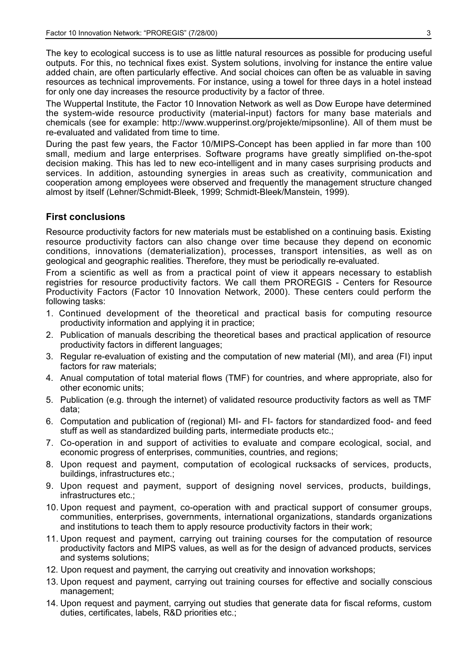The key to ecological success is to use as little natural resources as possible for producing useful outputs. For this, no technical fixes exist. System solutions, involving for instance the entire value added chain, are often particularly effective. And social choices can often be as valuable in saving resources as technical improvements. For instance, using a towel for three days in a hotel instead for only one day increases the resource productivity by a factor of three.

The Wuppertal Institute, the Factor 10 Innovation Network as well as Dow Europe have determined the system-wide resource productivity (material-input) factors for many base materials and chemicals (see for example: http://www.wupperinst.org/projekte/mipsonline). All of them must be re-evaluated and validated from time to time.

During the past few years, the Factor 10/MIPS-Concept has been applied in far more than 100 small, medium and large enterprises. Software programs have greatly simplified on-the-spot decision making. This has led to new eco-intelligent and in many cases surprising products and services. In addition, astounding synergies in areas such as creativity, communication and cooperation among employees were observed and frequently the management structure changed almost by itself (Lehner/Schmidt-Bleek, 1999; Schmidt-Bleek/Manstein, 1999).

#### **First conclusions**

Resource productivity factors for new materials must be established on a continuing basis. Existing resource productivity factors can also change over time because they depend on economic conditions, innovations (dematerialization), processes, transport intensities, as well as on geological and geographic realities. Therefore, they must be periodically re-evaluated.

From a scientific as well as from a practical point of view it appears necessary to establish registries for resource productivity factors. We call them PROREGIS - Centers for Resource Productivity Factors (Factor 10 Innovation Network, 2000). These centers could perform the following tasks:

- 1. Continued development of the theoretical and practical basis for computing resource productivity information and applying it in practice;
- 2. Publication of manuals describing the theoretical bases and practical application of resource productivity factors in different languages;
- 3. Regular re-evaluation of existing and the computation of new material (MI), and area (FI) input factors for raw materials;
- 4. Anual computation of total material flows (TMF) for countries, and where appropriate, also for other economic units;
- 5. Publication (e.g. through the internet) of validated resource productivity factors as well as TMF data;
- 6. Computation and publication of (regional) MI- and FI- factors for standardized food- and feed stuff as well as standardized building parts, intermediate products etc.;
- 7. Co-operation in and support of activities to evaluate and compare ecological, social, and economic progress of enterprises, communities, countries, and regions;
- 8. Upon request and payment, computation of ecological rucksacks of services, products, buildings, infrastructures etc.;
- 9. Upon request and payment, support of designing novel services, products, buildings, infrastructures etc.;
- 10. Upon request and payment, co-operation with and practical support of consumer groups, communities, enterprises, governments, international organizations, standards organizations and institutions to teach them to apply resource productivity factors in their work;
- 11. Upon request and payment, carrying out training courses for the computation of resource productivity factors and MIPS values, as well as for the design of advanced products, services and systems solutions;
- 12. Upon request and payment, the carrying out creativity and innovation workshops;
- 13. Upon request and payment, carrying out training courses for effective and socially conscious management;
- 14. Upon request and payment, carrying out studies that generate data for fiscal reforms, custom duties, certificates, labels, R&D priorities etc.;